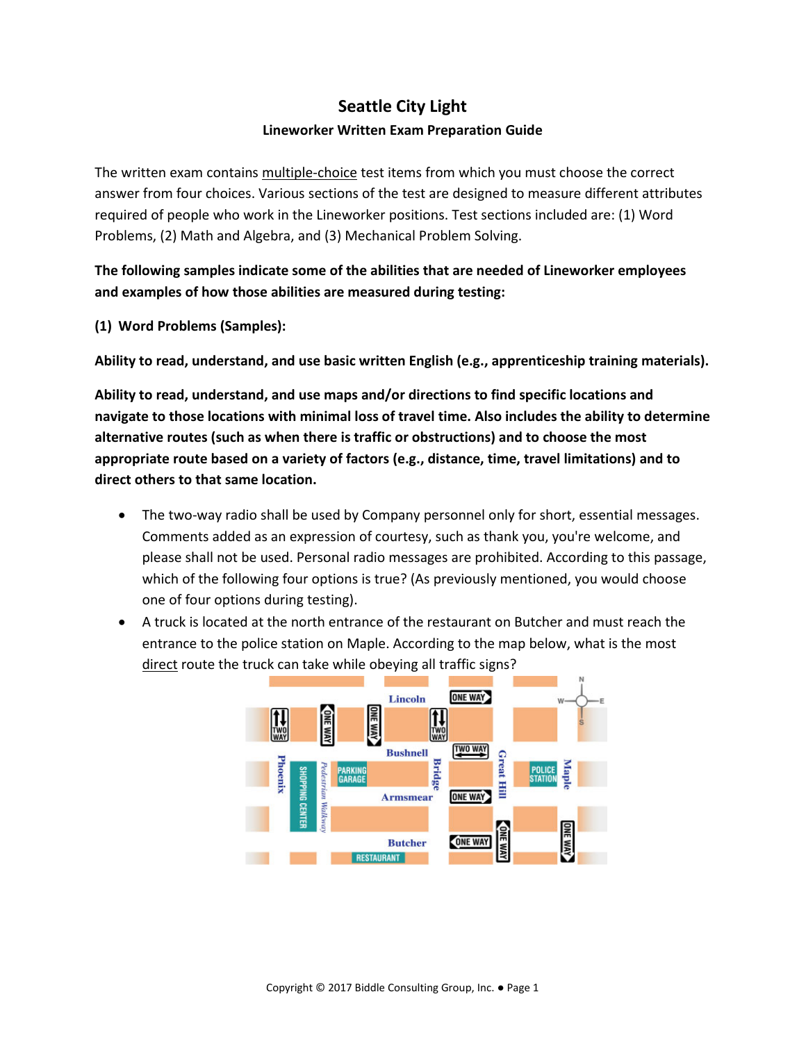## **Seattle City Light Lineworker Written Exam Preparation Guide**

The written exam contains multiple-choice test items from which you must choose the correct answer from four choices. Various sections of the test are designed to measure different attributes required of people who work in the Lineworker positions. Test sections included are: (1) Word Problems, (2) Math and Algebra, and (3) Mechanical Problem Solving.

**The following samples indicate some of the abilities that are needed of Lineworker employees and examples of how those abilities are measured during testing:**

**(1) Word Problems (Samples):**

**Ability to read, understand, and use basic written English (e.g., apprenticeship training materials).**

**Ability to read, understand, and use maps and/or directions to find specific locations and navigate to those locations with minimal loss of travel time. Also includes the ability to determine alternative routes (such as when there is traffic or obstructions) and to choose the most appropriate route based on a variety of factors (e.g., distance, time, travel limitations) and to direct others to that same location.**

- The two-way radio shall be used by Company personnel only for short, essential messages. Comments added as an expression of courtesy, such as thank you, you're welcome, and please shall not be used. Personal radio messages are prohibited. According to this passage, which of the following four options is true? (As previously mentioned, you would choose one of four options during testing).
- A truck is located at the north entrance of the restaurant on Butcher and must reach the entrance to the police station on Maple. According to the map below, what is the most direct route the truck can take while obeying all traffic signs?

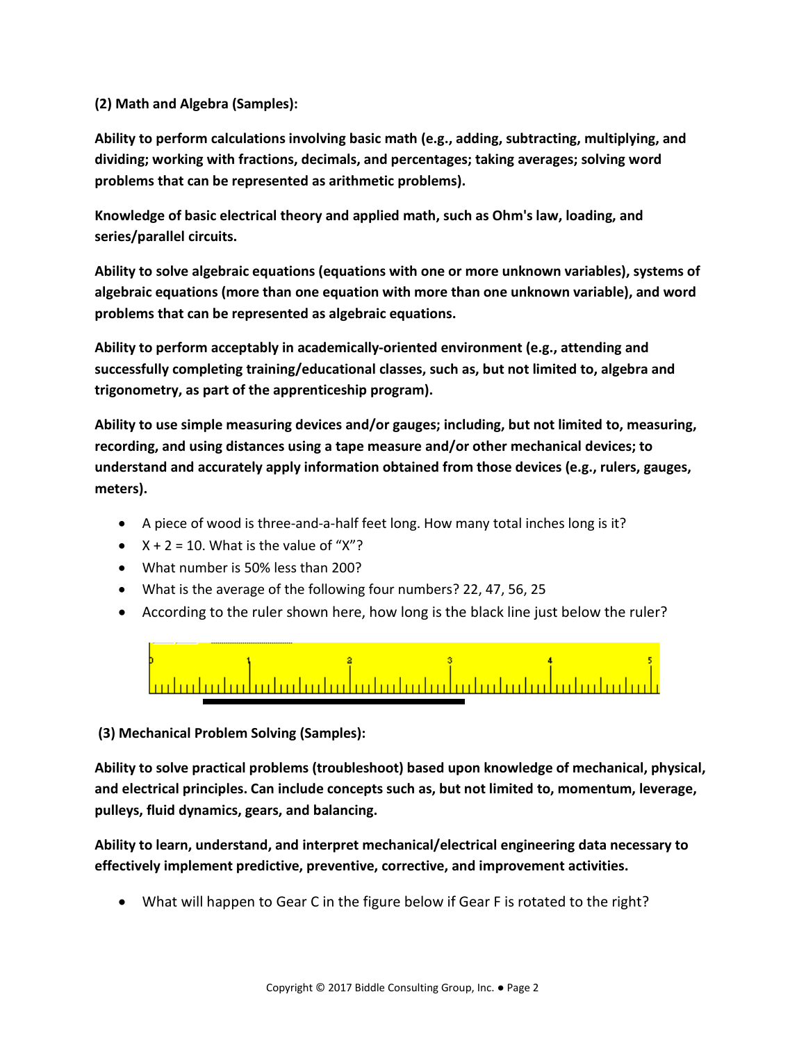## **(2) Math and Algebra (Samples):**

**Ability to perform calculations involving basic math (e.g., adding, subtracting, multiplying, and dividing; working with fractions, decimals, and percentages; taking averages; solving word problems that can be represented as arithmetic problems).**

**Knowledge of basic electrical theory and applied math, such as Ohm's law, loading, and series/parallel circuits.**

**Ability to solve algebraic equations (equations with one or more unknown variables), systems of algebraic equations (more than one equation with more than one unknown variable), and word problems that can be represented as algebraic equations.**

**Ability to perform acceptably in academically-oriented environment (e.g., attending and successfully completing training/educational classes, such as, but not limited to, algebra and trigonometry, as part of the apprenticeship program).**

**Ability to use simple measuring devices and/or gauges; including, but not limited to, measuring, recording, and using distances using a tape measure and/or other mechanical devices; to understand and accurately apply information obtained from those devices (e.g., rulers, gauges, meters).**

- A piece of wood is three-and-a-half feet long. How many total inches long is it?
- $X + 2 = 10$ . What is the value of "X"?
- What number is 50% less than 200?
- What is the average of the following four numbers? 22, 47, 56, 25
- According to the ruler shown here, how long is the black line just below the ruler?



**(3) Mechanical Problem Solving (Samples):**

**Ability to solve practical problems (troubleshoot) based upon knowledge of mechanical, physical, and electrical principles. Can include concepts such as, but not limited to, momentum, leverage, pulleys, fluid dynamics, gears, and balancing.** 

**Ability to learn, understand, and interpret mechanical/electrical engineering data necessary to effectively implement predictive, preventive, corrective, and improvement activities.**

• What will happen to Gear C in the figure below if Gear F is rotated to the right?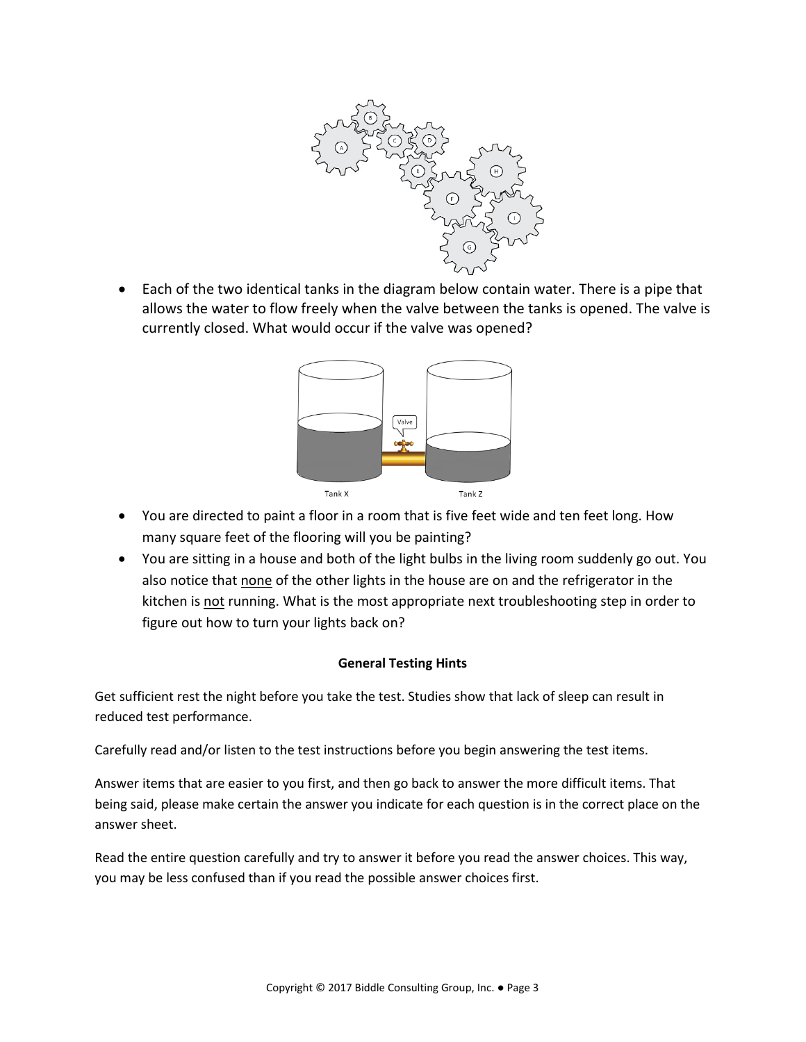

• Each of the two identical tanks in the diagram below contain water. There is a pipe that allows the water to flow freely when the valve between the tanks is opened. The valve is currently closed. What would occur if the valve was opened?



- You are directed to paint a floor in a room that is five feet wide and ten feet long. How many square feet of the flooring will you be painting?
- You are sitting in a house and both of the light bulbs in the living room suddenly go out. You also notice that none of the other lights in the house are on and the refrigerator in the kitchen is not running. What is the most appropriate next troubleshooting step in order to figure out how to turn your lights back on?

## **General Testing Hints**

Get sufficient rest the night before you take the test. Studies show that lack of sleep can result in reduced test performance.

Carefully read and/or listen to the test instructions before you begin answering the test items.

Answer items that are easier to you first, and then go back to answer the more difficult items. That being said, please make certain the answer you indicate for each question is in the correct place on the answer sheet.

Read the entire question carefully and try to answer it before you read the answer choices. This way, you may be less confused than if you read the possible answer choices first.